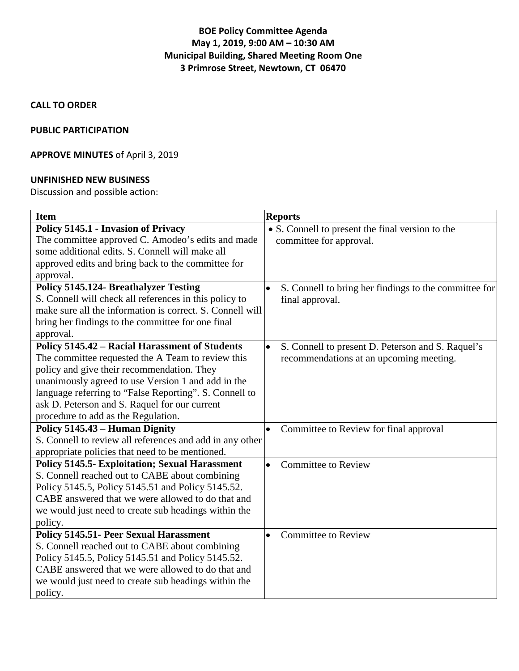## **BOE Policy Committee Agenda May 1, 2019, 9:00 AM – 10:30 AM Municipal Building, Shared Meeting Room One 3 Primrose Street, Newtown, CT 06470**

### **CALL TO ORDER**

#### **PUBLIC PARTICIPATION**

## **APPROVE MINUTES** of April 3, 2019

#### **UNFINISHED NEW BUSINESS**

Discussion and possible action:

| <b>Item</b>                                               | <b>Reports</b>                                                 |
|-----------------------------------------------------------|----------------------------------------------------------------|
| <b>Policy 5145.1 - Invasion of Privacy</b>                | • S. Connell to present the final version to the               |
| The committee approved C. Amodeo's edits and made         | committee for approval.                                        |
| some additional edits. S. Connell will make all           |                                                                |
| approved edits and bring back to the committee for        |                                                                |
| approval.                                                 |                                                                |
| <b>Policy 5145.124- Breathalyzer Testing</b>              | S. Connell to bring her findings to the committee for          |
| S. Connell will check all references in this policy to    | final approval.                                                |
| make sure all the information is correct. S. Connell will |                                                                |
| bring her findings to the committee for one final         |                                                                |
| approval.                                                 |                                                                |
| <b>Policy 5145.42 - Racial Harassment of Students</b>     | S. Connell to present D. Peterson and S. Raquel's<br>$\bullet$ |
| The committee requested the A Team to review this         | recommendations at an upcoming meeting.                        |
| policy and give their recommendation. They                |                                                                |
| unanimously agreed to use Version 1 and add in the        |                                                                |
| language referring to "False Reporting". S. Connell to    |                                                                |
| ask D. Peterson and S. Raquel for our current             |                                                                |
| procedure to add as the Regulation.                       |                                                                |
| Policy 5145.43 - Human Dignity                            | Committee to Review for final approval<br>$\bullet$            |
| S. Connell to review all references and add in any other  |                                                                |
| appropriate policies that need to be mentioned.           |                                                                |
| <b>Policy 5145.5- Exploitation; Sexual Harassment</b>     | <b>Committee to Review</b><br>$\bullet$                        |
| S. Connell reached out to CABE about combining            |                                                                |
| Policy 5145.5, Policy 5145.51 and Policy 5145.52.         |                                                                |
| CABE answered that we were allowed to do that and         |                                                                |
| we would just need to create sub headings within the      |                                                                |
| policy.                                                   |                                                                |
| <b>Policy 5145.51- Peer Sexual Harassment</b>             | <b>Committee to Review</b><br>$\bullet$                        |
| S. Connell reached out to CABE about combining            |                                                                |
| Policy 5145.5, Policy 5145.51 and Policy 5145.52.         |                                                                |
| CABE answered that we were allowed to do that and         |                                                                |
| we would just need to create sub headings within the      |                                                                |
| policy.                                                   |                                                                |